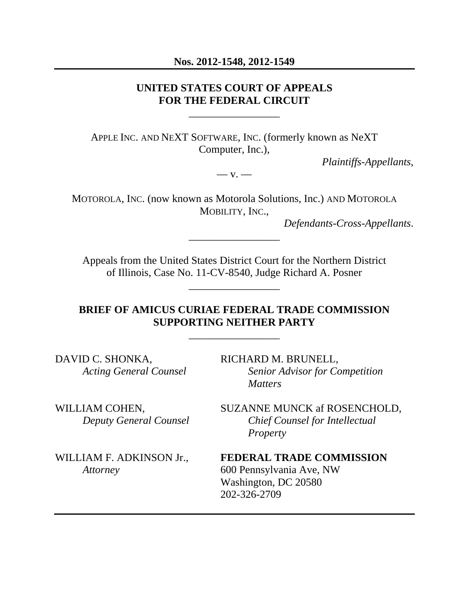#### **Nos. 2012-1548, 2012-1549**

### **UNITED STATES COURT OF APPEALS FOR THE FEDERAL CIRCUIT**

\_\_\_\_\_\_\_\_\_\_\_\_\_\_\_\_\_

APPLE INC. AND NEXT SOFTWARE, INC. (formerly known as NeXT Computer, Inc.),

 $-\mathbf{v}$ .

*Plaintiffs-Appellants*,

MOTOROLA, INC. (now known as Motorola Solutions, Inc.) AND MOTOROLA MOBILITY, INC.,

\_\_\_\_\_\_\_\_\_\_\_\_\_\_\_\_\_

*Defendants-Cross-Appellants*.

Appeals from the United States District Court for the Northern District of Illinois, Case No. 11-CV-8540, Judge Richard A. Posner

\_\_\_\_\_\_\_\_\_\_\_\_\_\_\_\_\_

## **BRIEF OF AMICUS CURIAE FEDERAL TRADE COMMISSION SUPPORTING NEITHER PARTY**

\_\_\_\_\_\_\_\_\_\_\_\_\_\_\_\_\_

DAVID C. SHONKA, RICHARD M. BRUNELL,

*Acting General Counsel Senior Advisor for Competition Matters* 

WILLIAM COHEN, SUZANNE MUNCK af ROSENCHOLD, *Deputy General Counsel Chief Counsel for Intellectual Property* 

WILLIAM F. ADKINSON Jr.,**FEDERAL TRADE COMMISSION** *Attorney* 600 Pennsylvania Ave, NW Washington, DC 20580 202-326-2709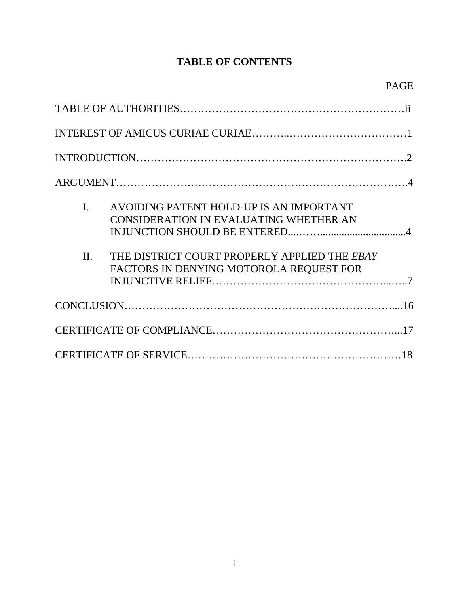# **TABLE OF CONTENTS**

| $\mathbf{I}$ .<br>$\Pi$ . | AVOIDING PATENT HOLD-UP IS AN IMPORTANT<br>CONSIDERATION IN EVALUATING WHETHER AN<br>THE DISTRICT COURT PROPERLY APPLIED THE EBAY<br>FACTORS IN DENYING MOTOROLA REQUEST FOR |  |  |
|---------------------------|------------------------------------------------------------------------------------------------------------------------------------------------------------------------------|--|--|
|                           |                                                                                                                                                                              |  |  |
|                           |                                                                                                                                                                              |  |  |
|                           |                                                                                                                                                                              |  |  |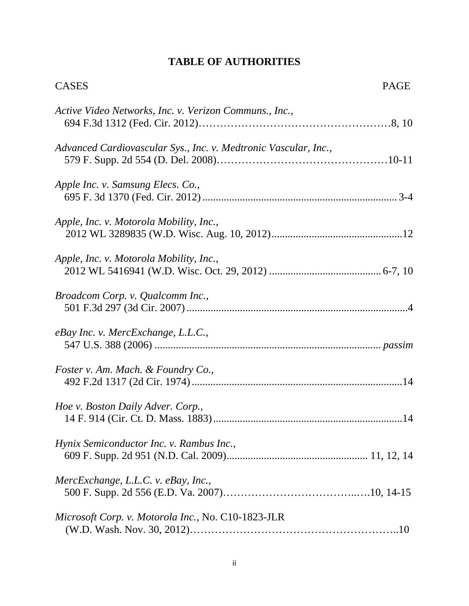# **TABLE OF AUTHORITIES**

| <b>CASES</b>                                                    | PAGE |
|-----------------------------------------------------------------|------|
| Active Video Networks, Inc. v. Verizon Communs., Inc.,          |      |
| Advanced Cardiovascular Sys., Inc. v. Medtronic Vascular, Inc., |      |
| Apple Inc. v. Samsung Elecs. Co.,                               |      |
| Apple, Inc. v. Motorola Mobility, Inc.,                         |      |
| Apple, Inc. v. Motorola Mobility, Inc.,                         |      |
| Broadcom Corp. v. Qualcomm Inc.,                                |      |
| eBay Inc. v. MercExchange, L.L.C.,                              |      |
| Foster v. Am. Mach. & Foundry Co.,                              |      |
| Hoe v. Boston Daily Adver. Corp.,                               |      |
| Hynix Semiconductor Inc. v. Rambus Inc.,                        |      |
| MercExchange, L.L.C. v. eBay, Inc.,                             |      |
| Microsoft Corp. v. Motorola Inc., No. C10-1823-JLR              |      |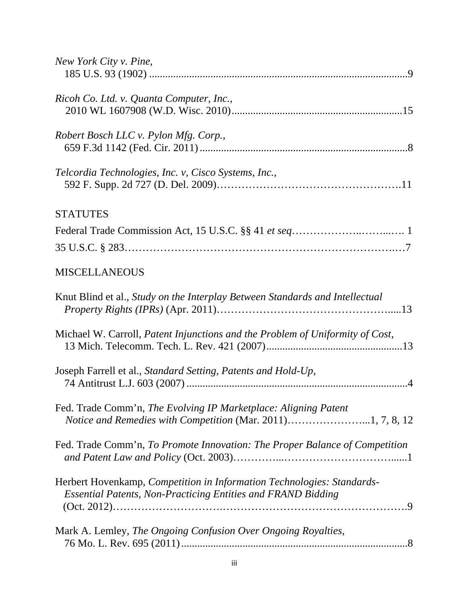| New York City v. Pine,                                                                                                                        |
|-----------------------------------------------------------------------------------------------------------------------------------------------|
| Ricoh Co. Ltd. v. Quanta Computer, Inc.,                                                                                                      |
| Robert Bosch LLC v. Pylon Mfg. Corp.,                                                                                                         |
| Telcordia Technologies, Inc. v, Cisco Systems, Inc.,                                                                                          |
| <b>STATUTES</b>                                                                                                                               |
|                                                                                                                                               |
|                                                                                                                                               |
| <b>MISCELLANEOUS</b>                                                                                                                          |
| Knut Blind et al., Study on the Interplay Between Standards and Intellectual                                                                  |
| Michael W. Carroll, Patent Injunctions and the Problem of Uniformity of Cost,                                                                 |
| Joseph Farrell et al., Standard Setting, Patents and Hold-Up,                                                                                 |
| Fed. Trade Comm'n, The Evolving IP Marketplace: Aligning Patent<br>Notice and Remedies with Competition (Mar. 2011)1, 7, 8, 12                |
| Fed. Trade Comm'n, To Promote Innovation: The Proper Balance of Competition                                                                   |
| Herbert Hovenkamp, Competition in Information Technologies: Standards-<br><b>Essential Patents, Non-Practicing Entities and FRAND Bidding</b> |
| Mark A. Lemley, The Ongoing Confusion Over Ongoing Royalties,                                                                                 |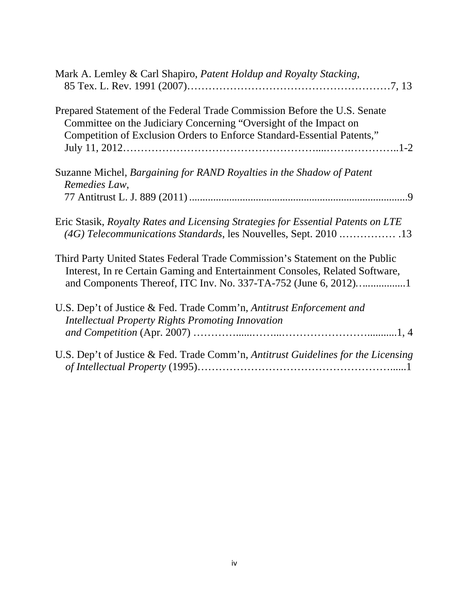| Mark A. Lemley & Carl Shapiro, Patent Holdup and Royalty Stacking,                                                                                                                                                              |
|---------------------------------------------------------------------------------------------------------------------------------------------------------------------------------------------------------------------------------|
| Prepared Statement of the Federal Trade Commission Before the U.S. Senate<br>Committee on the Judiciary Concerning "Oversight of the Impact on<br>Competition of Exclusion Orders to Enforce Standard-Essential Patents,"       |
| Suzanne Michel, Bargaining for RAND Royalties in the Shadow of Patent<br>Remedies Law,                                                                                                                                          |
| Eric Stasik, Royalty Rates and Licensing Strategies for Essential Patents on LTE<br>(4G) Telecommunications Standards, les Nouvelles, Sept. 2010  13                                                                            |
| Third Party United States Federal Trade Commission's Statement on the Public<br>Interest, In re Certain Gaming and Entertainment Consoles, Related Software,<br>and Components Thereof, ITC Inv. No. 337-TA-752 (June 6, 2012)1 |
| U.S. Dep't of Justice & Fed. Trade Comm'n, Antitrust Enforcement and<br><b>Intellectual Property Rights Promoting Innovation</b>                                                                                                |
| U.S. Dep't of Justice & Fed. Trade Comm'n, Antitrust Guidelines for the Licensing                                                                                                                                               |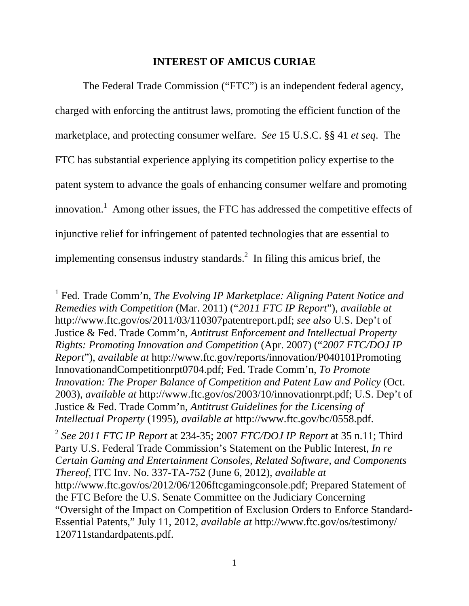### **INTEREST OF AMICUS CURIAE**

 The Federal Trade Commission ("FTC") is an independent federal agency, charged with enforcing the antitrust laws, promoting the efficient function of the marketplace, and protecting consumer welfare. *See* 15 U.S.C. §§ 41 *et seq*. The FTC has substantial experience applying its competition policy expertise to the patent system to advance the goals of enhancing consumer welfare and promoting innovation.<sup>1</sup> Among other issues, the FTC has addressed the competitive effects of injunctive relief for infringement of patented technologies that are essential to implementing consensus industry standards. $^2$  In filing this amicus brief, the

<sup>&</sup>lt;sup>1</sup> Fed. Trade Comm'n, *The Evolving IP Marketplace: Aligning Patent Notice and Remedies with Competition* (Mar. 2011) ("*2011 FTC IP Report*"), *available at* http://www.ftc.gov/os/2011/03/110307patentreport.pdf; *see also* U.S. Dep't of Justice & Fed. Trade Comm'n, *Antitrust Enforcement and Intellectual Property Rights: Promoting Innovation and Competition* (Apr. 2007) ("*2007 FTC/DOJ IP Report*"), *available at* http://www.ftc.gov/reports/innovation/P040101Promoting InnovationandCompetitionrpt0704.pdf; Fed. Trade Comm'n, *To Promote Innovation: The Proper Balance of Competition and Patent Law and Policy (Oct.* 2003), *available at* http://www.ftc.gov/os/2003/10/innovationrpt.pdf; U.S. Dep't of Justice & Fed. Trade Comm'n, *Antitrust Guidelines for the Licensing of Intellectual Property* (1995), *available at* http://www.ftc.gov/bc/0558.pdf.

<sup>2</sup> *See 2011 FTC IP Report* at 234-35; 2007 *FTC/DOJ IP Report* at 35 n.11; Third Party U.S. Federal Trade Commission's Statement on the Public Interest, *In re Certain Gaming and Entertainment Consoles, Related Software, and Components Thereof*, ITC Inv. No. 337-TA-752 (June 6, 2012), *available at* http://www.ftc.gov/os/2012/06/1206ftcgamingconsole.pdf; Prepared Statement of the FTC Before the U.S. Senate Committee on the Judiciary Concerning "Oversight of the Impact on Competition of Exclusion Orders to Enforce Standard-Essential Patents," July 11, 2012, *available at* http://www.ftc.gov/os/testimony/ 120711standardpatents.pdf.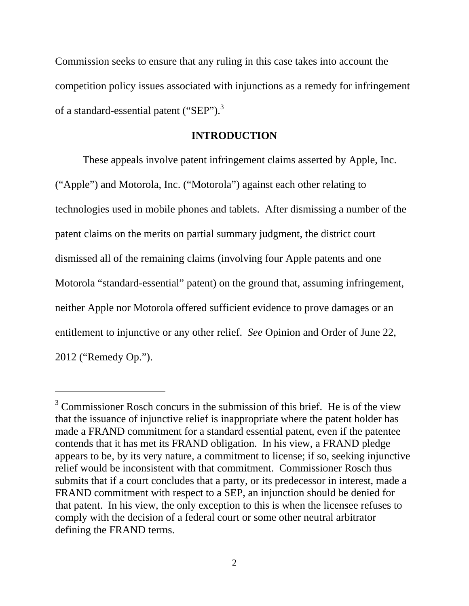Commission seeks to ensure that any ruling in this case takes into account the competition policy issues associated with injunctions as a remedy for infringement of a standard-essential patent ("SEP").<sup>3</sup>

#### **INTRODUCTION**

 These appeals involve patent infringement claims asserted by Apple, Inc. ("Apple") and Motorola, Inc. ("Motorola") against each other relating to technologies used in mobile phones and tablets. After dismissing a number of the patent claims on the merits on partial summary judgment, the district court dismissed all of the remaining claims (involving four Apple patents and one Motorola "standard-essential" patent) on the ground that, assuming infringement, neither Apple nor Motorola offered sufficient evidence to prove damages or an entitlement to injunctive or any other relief. *See* Opinion and Order of June 22, 2012 ("Remedy Op.").

 $3$  Commissioner Rosch concurs in the submission of this brief. He is of the view that the issuance of injunctive relief is inappropriate where the patent holder has made a FRAND commitment for a standard essential patent, even if the patentee contends that it has met its FRAND obligation. In his view, a FRAND pledge appears to be, by its very nature, a commitment to license; if so, seeking injunctive relief would be inconsistent with that commitment. Commissioner Rosch thus submits that if a court concludes that a party, or its predecessor in interest, made a FRAND commitment with respect to a SEP, an injunction should be denied for that patent. In his view, the only exception to this is when the licensee refuses to comply with the decision of a federal court or some other neutral arbitrator defining the FRAND terms.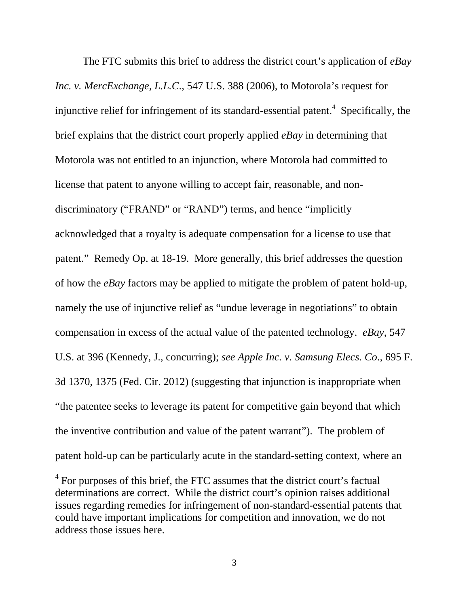The FTC submits this brief to address the district court's application of *eBay Inc. v. MercExchange, L.L.C*., 547 U.S. 388 (2006), to Motorola's request for injunctive relief for infringement of its standard-essential patent.<sup>4</sup> Specifically, the brief explains that the district court properly applied *eBay* in determining that Motorola was not entitled to an injunction, where Motorola had committed to license that patent to anyone willing to accept fair, reasonable, and nondiscriminatory ("FRAND" or "RAND") terms, and hence "implicitly acknowledged that a royalty is adequate compensation for a license to use that patent." Remedy Op. at 18-19. More generally, this brief addresses the question of how the *eBay* factors may be applied to mitigate the problem of patent hold-up, namely the use of injunctive relief as "undue leverage in negotiations" to obtain compensation in excess of the actual value of the patented technology. *eBay*, 547 U.S. at 396 (Kennedy, J., concurring); *see Apple Inc. v. Samsung Elecs. Co*., 695 F. 3d 1370, 1375 (Fed. Cir. 2012) (suggesting that injunction is inappropriate when "the patentee seeks to leverage its patent for competitive gain beyond that which the inventive contribution and value of the patent warrant"). The problem of patent hold-up can be particularly acute in the standard-setting context, where an

<sup>&</sup>lt;sup>4</sup> For purposes of this brief, the FTC assumes that the district court's factual determinations are correct. While the district court's opinion raises additional issues regarding remedies for infringement of non-standard-essential patents that could have important implications for competition and innovation, we do not address those issues here.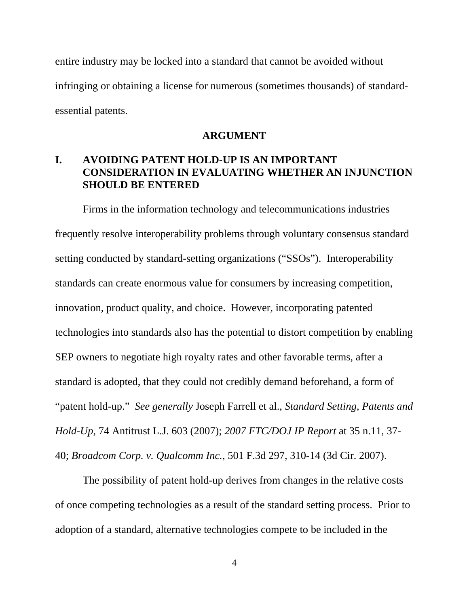entire industry may be locked into a standard that cannot be avoided without infringing or obtaining a license for numerous (sometimes thousands) of standardessential patents.

#### **ARGUMENT**

## **I. AVOIDING PATENT HOLD-UP IS AN IMPORTANT CONSIDERATION IN EVALUATING WHETHER AN INJUNCTION SHOULD BE ENTERED**

 Firms in the information technology and telecommunications industries frequently resolve interoperability problems through voluntary consensus standard setting conducted by standard-setting organizations ("SSOs"). Interoperability standards can create enormous value for consumers by increasing competition, innovation, product quality, and choice. However, incorporating patented technologies into standards also has the potential to distort competition by enabling SEP owners to negotiate high royalty rates and other favorable terms, after a standard is adopted, that they could not credibly demand beforehand, a form of "patent hold-up." *See generally* Joseph Farrell et al., *Standard Setting, Patents and Hold-Up*, 74 Antitrust L.J. 603 (2007); *2007 FTC/DOJ IP Report* at 35 n.11, 37- 40; *Broadcom Corp. v. Qualcomm Inc.*, 501 F.3d 297, 310-14 (3d Cir. 2007).

 The possibility of patent hold-up derives from changes in the relative costs of once competing technologies as a result of the standard setting process. Prior to adoption of a standard, alternative technologies compete to be included in the

4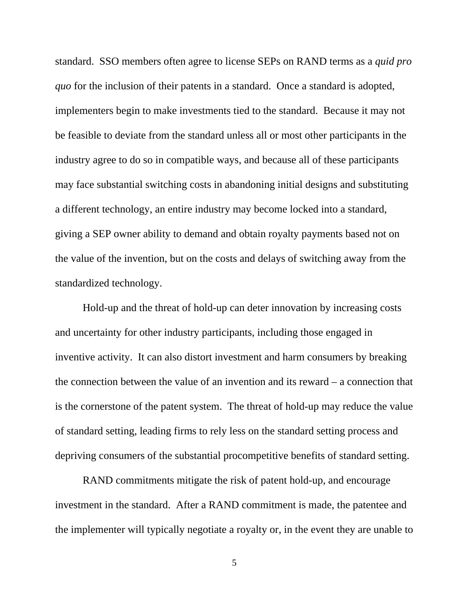standard. SSO members often agree to license SEPs on RAND terms as a *quid pro quo* for the inclusion of their patents in a standard. Once a standard is adopted, implementers begin to make investments tied to the standard. Because it may not be feasible to deviate from the standard unless all or most other participants in the industry agree to do so in compatible ways, and because all of these participants may face substantial switching costs in abandoning initial designs and substituting a different technology, an entire industry may become locked into a standard, giving a SEP owner ability to demand and obtain royalty payments based not on the value of the invention, but on the costs and delays of switching away from the standardized technology.

 Hold-up and the threat of hold-up can deter innovation by increasing costs and uncertainty for other industry participants, including those engaged in inventive activity. It can also distort investment and harm consumers by breaking the connection between the value of an invention and its reward – a connection that is the cornerstone of the patent system. The threat of hold-up may reduce the value of standard setting, leading firms to rely less on the standard setting process and depriving consumers of the substantial procompetitive benefits of standard setting.

 RAND commitments mitigate the risk of patent hold-up, and encourage investment in the standard. After a RAND commitment is made, the patentee and the implementer will typically negotiate a royalty or, in the event they are unable to

5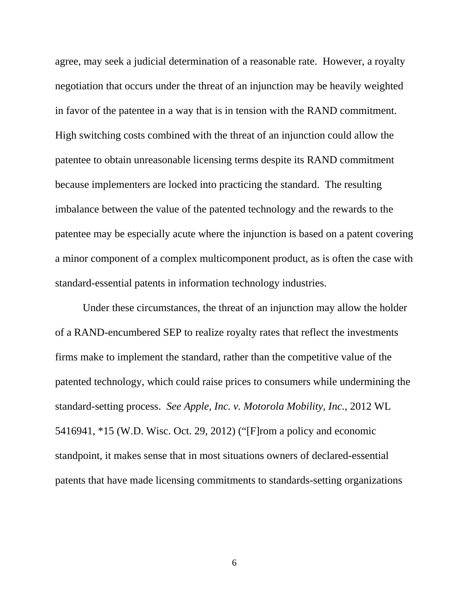agree, may seek a judicial determination of a reasonable rate. However, a royalty negotiation that occurs under the threat of an injunction may be heavily weighted in favor of the patentee in a way that is in tension with the RAND commitment. High switching costs combined with the threat of an injunction could allow the patentee to obtain unreasonable licensing terms despite its RAND commitment because implementers are locked into practicing the standard. The resulting imbalance between the value of the patented technology and the rewards to the patentee may be especially acute where the injunction is based on a patent covering a minor component of a complex multicomponent product, as is often the case with standard-essential patents in information technology industries.

Under these circumstances, the threat of an injunction may allow the holder of a RAND-encumbered SEP to realize royalty rates that reflect the investments firms make to implement the standard, rather than the competitive value of the patented technology, which could raise prices to consumers while undermining the standard-setting process. *See Apple, Inc. v. Motorola Mobility, Inc.*, 2012 WL 5416941, \*15 (W.D. Wisc. Oct. 29, 2012) ("[F]rom a policy and economic standpoint, it makes sense that in most situations owners of declared-essential patents that have made licensing commitments to standards-setting organizations

6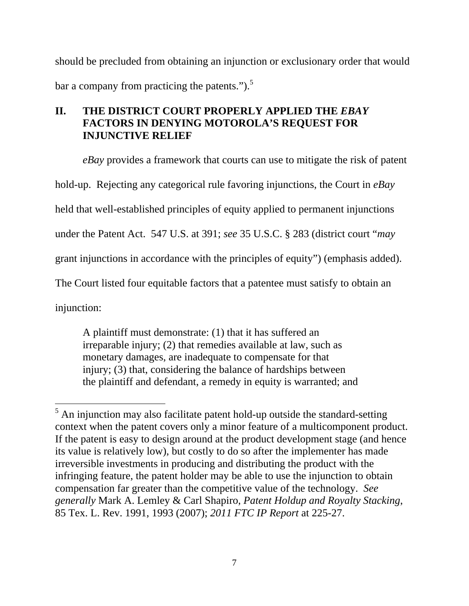should be precluded from obtaining an injunction or exclusionary order that would bar a company from practicing the patents." $)$ .<sup>5</sup>

# **II. THE DISTRICT COURT PROPERLY APPLIED THE** *EBAY*  **FACTORS IN DENYING MOTOROLA'S REQUEST FOR INJUNCTIVE RELIEF**

*eBay* provides a framework that courts can use to mitigate the risk of patent

hold-up. Rejecting any categorical rule favoring injunctions, the Court in *eBay*

held that well-established principles of equity applied to permanent injunctions

under the Patent Act. 547 U.S. at 391; *see* 35 U.S.C. § 283 (district court "*may*

grant injunctions in accordance with the principles of equity") (emphasis added).

The Court listed four equitable factors that a patentee must satisfy to obtain an

injunction:

A plaintiff must demonstrate: (1) that it has suffered an irreparable injury; (2) that remedies available at law, such as monetary damages, are inadequate to compensate for that injury; (3) that, considering the balance of hardships between the plaintiff and defendant, a remedy in equity is warranted; and

 $\overline{a}$  $<sup>5</sup>$  An injunction may also facilitate patent hold-up outside the standard-setting</sup> context when the patent covers only a minor feature of a multicomponent product. If the patent is easy to design around at the product development stage (and hence its value is relatively low), but costly to do so after the implementer has made irreversible investments in producing and distributing the product with the infringing feature, the patent holder may be able to use the injunction to obtain compensation far greater than the competitive value of the technology. *See generally* Mark A. Lemley & Carl Shapiro, *Patent Holdup and Royalty Stacking*, 85 Tex. L. Rev. 1991, 1993 (2007); *2011 FTC IP Report* at 225-27.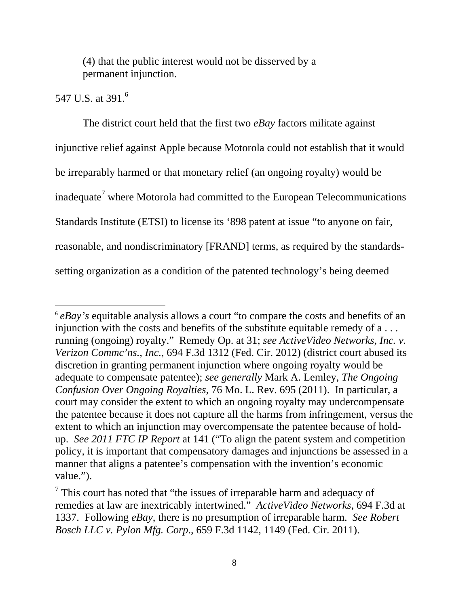(4) that the public interest would not be disserved by a permanent injunction.

## 547 U.S. at 391.<sup>6</sup>

 $\overline{a}$ 

The district court held that the first two *eBay* factors militate against injunctive relief against Apple because Motorola could not establish that it would be irreparably harmed or that monetary relief (an ongoing royalty) would be inadequate<sup>7</sup> where Motorola had committed to the European Telecommunications Standards Institute (ETSI) to license its '898 patent at issue "to anyone on fair, reasonable, and nondiscriminatory [FRAND] terms, as required by the standardssetting organization as a condition of the patented technology's being deemed

<sup>6</sup> *eBay's* equitable analysis allows a court "to compare the costs and benefits of an injunction with the costs and benefits of the substitute equitable remedy of a . . . running (ongoing) royalty." Remedy Op. at 31; *see ActiveVideo Networks, Inc. v. Verizon Commc'ns., Inc.*, 694 F.3d 1312 (Fed. Cir. 2012) (district court abused its discretion in granting permanent injunction where ongoing royalty would be adequate to compensate patentee); *see generally* Mark A. Lemley, *The Ongoing Confusion Over Ongoing Royalties*, 76 Mo. L. Rev. 695 (2011). In particular, a court may consider the extent to which an ongoing royalty may undercompensate the patentee because it does not capture all the harms from infringement, versus the extent to which an injunction may overcompensate the patentee because of holdup. *See 2011 FTC IP Report* at 141 ("To align the patent system and competition policy, it is important that compensatory damages and injunctions be assessed in a manner that aligns a patentee's compensation with the invention's economic value.").

 $7$  This court has noted that "the issues of irreparable harm and adequacy of remedies at law are inextricably intertwined." *ActiveVideo Networks,* 694 F.3d at 1337. Following *eBay*, there is no presumption of irreparable harm. *See Robert Bosch LLC v. Pylon Mfg. Corp*., 659 F.3d 1142, 1149 (Fed. Cir. 2011).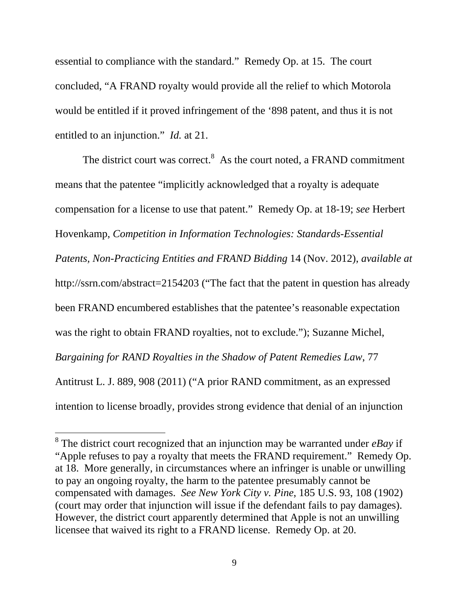essential to compliance with the standard." Remedy Op. at 15. The court concluded, "A FRAND royalty would provide all the relief to which Motorola would be entitled if it proved infringement of the '898 patent, and thus it is not entitled to an injunction." *Id.* at 21.

The district court was correct. $8$  As the court noted, a FRAND commitment means that the patentee "implicitly acknowledged that a royalty is adequate compensation for a license to use that patent." Remedy Op. at 18-19; *see* Herbert Hovenkamp, *Competition in Information Technologies: Standards-Essential Patents, Non-Practicing Entities and FRAND Bidding* 14 (Nov. 2012), *available at* http://ssrn.com/abstract=2154203 ("The fact that the patent in question has already been FRAND encumbered establishes that the patentee's reasonable expectation was the right to obtain FRAND royalties, not to exclude."); Suzanne Michel, *Bargaining for RAND Royalties in the Shadow of Patent Remedies Law*, 77 Antitrust L. J. 889, 908 (2011) ("A prior RAND commitment, as an expressed intention to license broadly, provides strong evidence that denial of an injunction

<sup>8</sup> The district court recognized that an injunction may be warranted under *eBay* if "Apple refuses to pay a royalty that meets the FRAND requirement." Remedy Op. at 18. More generally, in circumstances where an infringer is unable or unwilling to pay an ongoing royalty, the harm to the patentee presumably cannot be compensated with damages. *See New York City v. Pine*, 185 U.S. 93, 108 (1902) (court may order that injunction will issue if the defendant fails to pay damages). However, the district court apparently determined that Apple is not an unwilling licensee that waived its right to a FRAND license. Remedy Op. at 20.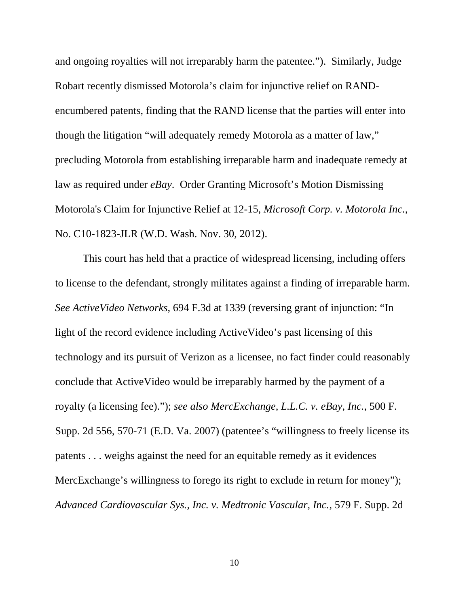and ongoing royalties will not irreparably harm the patentee."). Similarly, Judge Robart recently dismissed Motorola's claim for injunctive relief on RANDencumbered patents, finding that the RAND license that the parties will enter into though the litigation "will adequately remedy Motorola as a matter of law," precluding Motorola from establishing irreparable harm and inadequate remedy at law as required under *eBay*. Order Granting Microsoft's Motion Dismissing Motorola's Claim for Injunctive Relief at 12-15, *Microsoft Corp. v. Motorola Inc.*, No. C10-1823-JLR (W.D. Wash. Nov. 30, 2012).

This court has held that a practice of widespread licensing, including offers to license to the defendant, strongly militates against a finding of irreparable harm. *See ActiveVideo Networks,* 694 F.3d at 1339 (reversing grant of injunction: "In light of the record evidence including ActiveVideo's past licensing of this technology and its pursuit of Verizon as a licensee, no fact finder could reasonably conclude that ActiveVideo would be irreparably harmed by the payment of a royalty (a licensing fee)."); *see also MercExchange, L.L.C. v. eBay, Inc.*, 500 F. Supp. 2d 556, 570-71 (E.D. Va. 2007) (patentee's "willingness to freely license its patents . . . weighs against the need for an equitable remedy as it evidences MercExchange's willingness to forego its right to exclude in return for money"); *Advanced Cardiovascular Sys., Inc. v. Medtronic Vascular, Inc.*, 579 F. Supp. 2d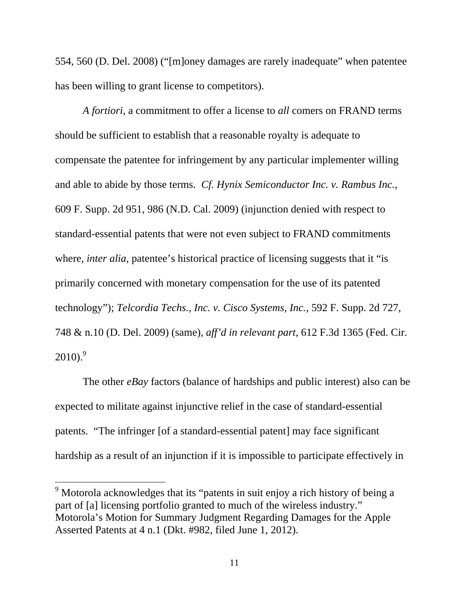554, 560 (D. Del. 2008) ("[m]oney damages are rarely inadequate" when patentee has been willing to grant license to competitors).

*A fortiori*, a commitment to offer a license to *all* comers on FRAND terms should be sufficient to establish that a reasonable royalty is adequate to compensate the patentee for infringement by any particular implementer willing and able to abide by those terms. *Cf. Hynix Semiconductor Inc. v. Rambus Inc.*, 609 F. Supp. 2d 951, 986 (N.D. Cal. 2009) (injunction denied with respect to standard-essential patents that were not even subject to FRAND commitments where, *inter alia*, patentee's historical practice of licensing suggests that it "is primarily concerned with monetary compensation for the use of its patented technology"); *Telcordia Techs., Inc. v. Cisco Systems, Inc.*, 592 F. Supp. 2d 727, 748 & n.10 (D. Del. 2009) (same), *aff'd in relevant part*, 612 F.3d 1365 (Fed. Cir.  $2010$ .<sup>9</sup>

 The other *eBay* factors (balance of hardships and public interest) also can be expected to militate against injunctive relief in the case of standard-essential patents. "The infringer [of a standard-essential patent] may face significant hardship as a result of an injunction if it is impossible to participate effectively in

<sup>&</sup>lt;sup>9</sup> Motorola acknowledges that its "patents in suit enjoy a rich history of being a part of [a] licensing portfolio granted to much of the wireless industry." Motorola's Motion for Summary Judgment Regarding Damages for the Apple Asserted Patents at 4 n.1 (Dkt. #982, filed June 1, 2012).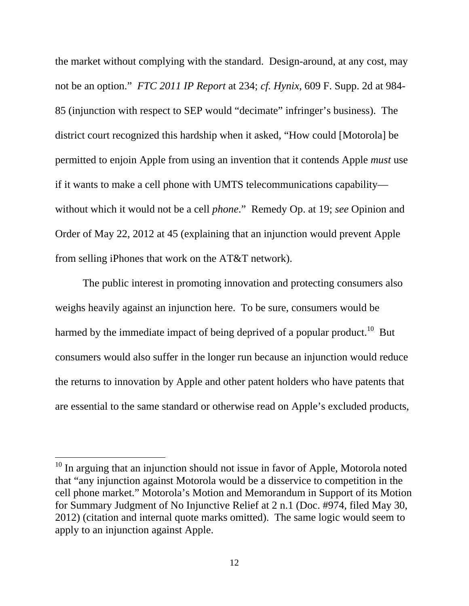the market without complying with the standard. Design-around, at any cost, may not be an option." *FTC 2011 IP Report* at 234; *cf. Hynix*, 609 F. Supp. 2d at 984- 85 (injunction with respect to SEP would "decimate" infringer's business). The district court recognized this hardship when it asked, "How could [Motorola] be permitted to enjoin Apple from using an invention that it contends Apple *must* use if it wants to make a cell phone with UMTS telecommunications capability without which it would not be a cell *phone*." Remedy Op. at 19; *see* Opinion and Order of May 22, 2012 at 45 (explaining that an injunction would prevent Apple from selling iPhones that work on the AT&T network).

 The public interest in promoting innovation and protecting consumers also weighs heavily against an injunction here. To be sure, consumers would be harmed by the immediate impact of being deprived of a popular product.<sup>10</sup> But consumers would also suffer in the longer run because an injunction would reduce the returns to innovation by Apple and other patent holders who have patents that are essential to the same standard or otherwise read on Apple's excluded products,

 $10$  In arguing that an injunction should not issue in favor of Apple, Motorola noted that "any injunction against Motorola would be a disservice to competition in the cell phone market." Motorola's Motion and Memorandum in Support of its Motion for Summary Judgment of No Injunctive Relief at 2 n.1 (Doc. #974, filed May 30, 2012) (citation and internal quote marks omitted). The same logic would seem to apply to an injunction against Apple.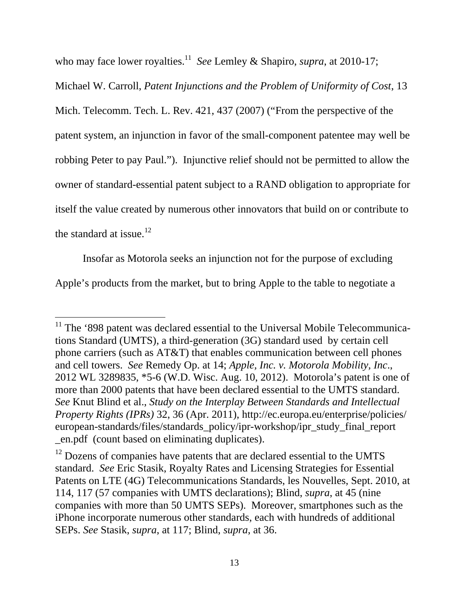who may face lower royalties.<sup>11</sup> *See* Lemley & Shapiro, *supra*, at 2010-17;

Michael W. Carroll, *Patent Injunctions and the Problem of Uniformity of Cost*, 13 Mich. Telecomm. Tech. L. Rev. 421, 437 (2007) ("From the perspective of the patent system, an injunction in favor of the small-component patentee may well be robbing Peter to pay Paul."). Injunctive relief should not be permitted to allow the owner of standard-essential patent subject to a RAND obligation to appropriate for itself the value created by numerous other innovators that build on or contribute to the standard at issue.<sup>12</sup>

 Insofar as Motorola seeks an injunction not for the purpose of excluding Apple's products from the market, but to bring Apple to the table to negotiate a

 $11$  The '898 patent was declared essential to the Universal Mobile Telecommunications Standard (UMTS), a third-generation (3G) standard used by certain cell phone carriers (such as AT&T) that enables communication between cell phones and cell towers. *See* Remedy Op. at 14; *Apple, Inc. v. Motorola Mobility, Inc*., 2012 WL 3289835, \*5-6 (W.D. Wisc. Aug. 10, 2012). Motorola's patent is one of more than 2000 patents that have been declared essential to the UMTS standard. *See* Knut Blind et al., *Study on the Interplay Between Standards and Intellectual Property Rights (IPRs)* 32, 36 (Apr. 2011), http://ec.europa.eu/enterprise/policies/ european-standards/files/standards\_policy/ipr-workshop/ipr\_study\_final\_report \_en.pdf (count based on eliminating duplicates).

 $12$  Dozens of companies have patents that are declared essential to the UMTS standard. *See* Eric Stasik, Royalty Rates and Licensing Strategies for Essential Patents on LTE (4G) Telecommunications Standards, les Nouvelles, Sept. 2010, at 114, 117 (57 companies with UMTS declarations); Blind, *supra*, at 45 (nine companies with more than 50 UMTS SEPs). Moreover, smartphones such as the iPhone incorporate numerous other standards, each with hundreds of additional SEPs. *See* Stasik, *supra*, at 117; Blind, *supra*, at 36.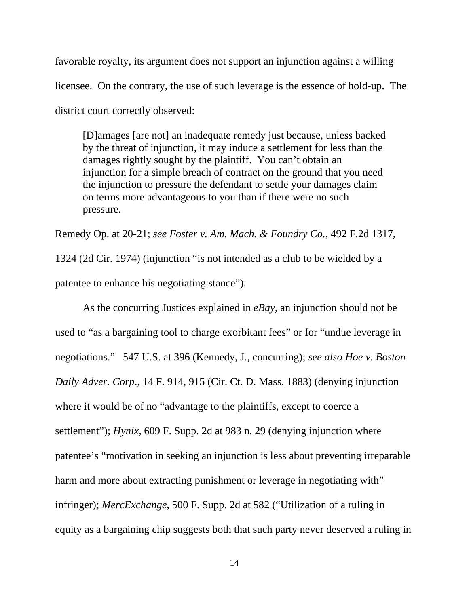favorable royalty, its argument does not support an injunction against a willing licensee. On the contrary, the use of such leverage is the essence of hold-up. The district court correctly observed:

[D]amages [are not] an inadequate remedy just because, unless backed by the threat of injunction, it may induce a settlement for less than the damages rightly sought by the plaintiff. You can't obtain an injunction for a simple breach of contract on the ground that you need the injunction to pressure the defendant to settle your damages claim on terms more advantageous to you than if there were no such pressure.

Remedy Op. at 20-21; *see Foster v. Am. Mach. & Foundry Co.*, 492 F.2d 1317, 1324 (2d Cir. 1974) (injunction "is not intended as a club to be wielded by a patentee to enhance his negotiating stance").

As the concurring Justices explained in *eBay*, an injunction should not be used to "as a bargaining tool to charge exorbitant fees" or for "undue leverage in negotiations." 547 U.S. at 396 (Kennedy, J., concurring); *see also Hoe v. Boston Daily Adver. Corp*., 14 F. 914, 915 (Cir. Ct. D. Mass. 1883) (denying injunction where it would be of no "advantage to the plaintiffs, except to coerce a settlement"); *Hynix*, 609 F. Supp. 2d at 983 n. 29 (denying injunction where patentee's "motivation in seeking an injunction is less about preventing irreparable harm and more about extracting punishment or leverage in negotiating with" infringer); *MercExchange*, 500 F. Supp. 2d at 582 ("Utilization of a ruling in equity as a bargaining chip suggests both that such party never deserved a ruling in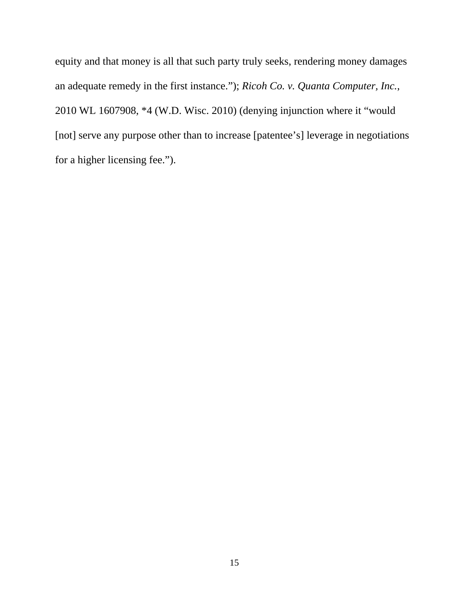equity and that money is all that such party truly seeks, rendering money damages an adequate remedy in the first instance."); *Ricoh Co. v. Quanta Computer, Inc.*, 2010 WL 1607908, \*4 (W.D. Wisc. 2010) (denying injunction where it "would [not] serve any purpose other than to increase [patentee's] leverage in negotiations for a higher licensing fee.").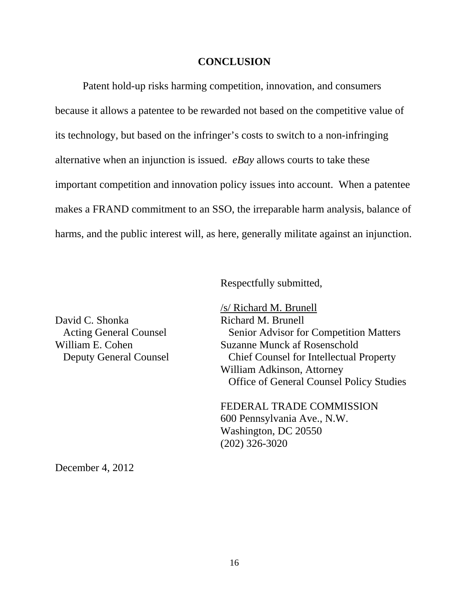#### **CONCLUSION**

Patent hold-up risks harming competition, innovation, and consumers because it allows a patentee to be rewarded not based on the competitive value of its technology, but based on the infringer's costs to switch to a non-infringing alternative when an injunction is issued. *eBay* allows courts to take these important competition and innovation policy issues into account. When a patentee makes a FRAND commitment to an SSO, the irreparable harm analysis, balance of harms, and the public interest will, as here, generally militate against an injunction.

Respectfully submitted,

 /s/ Richard M. Brunell Acting General Counsel Senior Advisor for Competition Matters William E. Cohen Suzanne Munck af Rosenschold Deputy General Counsel Chief Counsel for Intellectual Property William Adkinson, Attorney Office of General Counsel Policy Studies

> FEDERAL TRADE COMMISSION 600 Pennsylvania Ave., N.W. Washington, DC 20550 (202) 326-3020

December 4, 2012

David C. Shonka Richard M. Brunell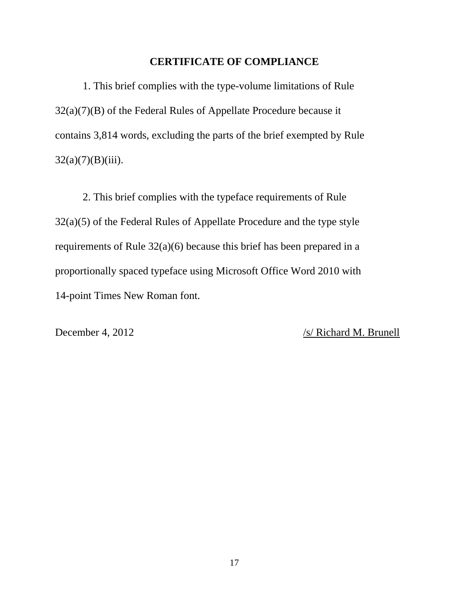#### **CERTIFICATE OF COMPLIANCE**

1. This brief complies with the type-volume limitations of Rule 32(a)(7)(B) of the Federal Rules of Appellate Procedure because it contains 3,814 words, excluding the parts of the brief exempted by Rule  $32(a)(7)(B)(iii)$ .

2. This brief complies with the typeface requirements of Rule 32(a)(5) of the Federal Rules of Appellate Procedure and the type style requirements of Rule 32(a)(6) because this brief has been prepared in a proportionally spaced typeface using Microsoft Office Word 2010 with 14-point Times New Roman font.

December 4, 2012 /s/ Richard M. Brunell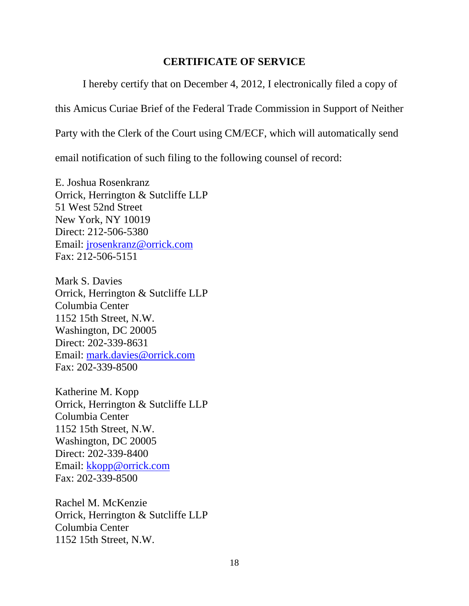### **CERTIFICATE OF SERVICE**

I hereby certify that on December 4, 2012, I electronically filed a copy of

this Amicus Curiae Brief of the Federal Trade Commission in Support of Neither

Party with the Clerk of the Court using CM/ECF, which will automatically send

email notification of such filing to the following counsel of record:

E. Joshua Rosenkranz Orrick, Herrington & Sutcliffe LLP 51 West 52nd Street New York, NY 10019 Direct: 212-506-5380 Email: jrosenkranz@orrick.com Fax: 212-506-5151

Mark S. Davies Orrick, Herrington & Sutcliffe LLP Columbia Center 1152 15th Street, N.W. Washington, DC 20005 Direct: 202-339-8631 Email: mark.davies@orrick.com Fax: 202-339-8500

Katherine M. Kopp Orrick, Herrington & Sutcliffe LLP Columbia Center 1152 15th Street, N.W. Washington, DC 20005 Direct: 202-339-8400 Email: kkopp@orrick.com Fax: 202-339-8500

Rachel M. McKenzie Orrick, Herrington & Sutcliffe LLP Columbia Center 1152 15th Street, N.W.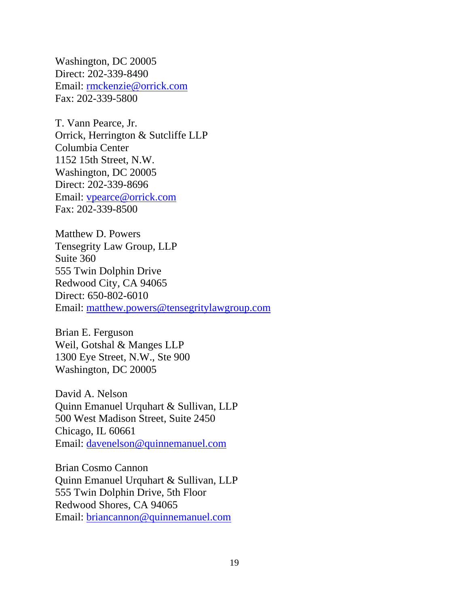Washington, DC 20005 Direct: 202-339-8490 Email: rmckenzie@orrick.com Fax: 202-339-5800

T. Vann Pearce, Jr. Orrick, Herrington & Sutcliffe LLP Columbia Center 1152 15th Street, N.W. Washington, DC 20005 Direct: 202-339-8696 Email: vpearce@orrick.com Fax: 202-339-8500

Matthew D. Powers Tensegrity Law Group, LLP Suite 360 555 Twin Dolphin Drive Redwood City, CA 94065 Direct: 650-802-6010 Email: matthew.powers@tensegritylawgroup.com

Brian E. Ferguson Weil, Gotshal & Manges LLP 1300 Eye Street, N.W., Ste 900 Washington, DC 20005

David A. Nelson Quinn Emanuel Urquhart & Sullivan, LLP 500 West Madison Street, Suite 2450 Chicago, IL 60661 Email: davenelson@quinnemanuel.com

Brian Cosmo Cannon Quinn Emanuel Urquhart & Sullivan, LLP 555 Twin Dolphin Drive, 5th Floor Redwood Shores, CA 94065 Email: briancannon@quinnemanuel.com